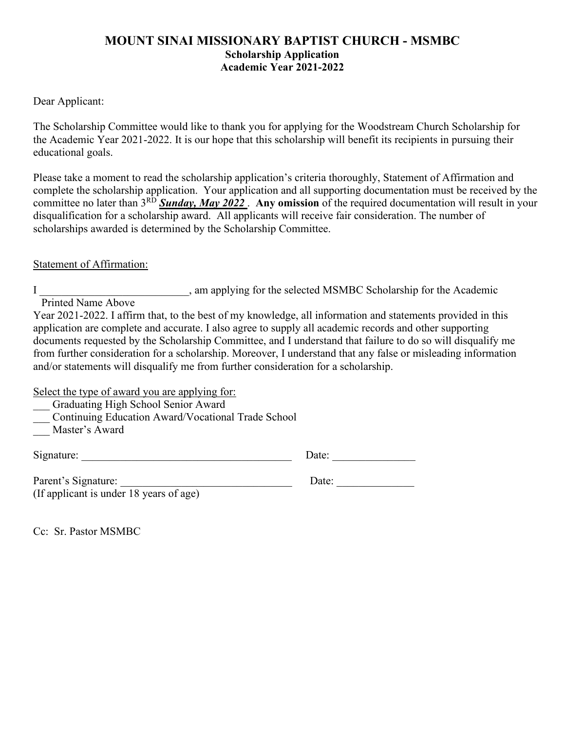#### **MOUNT SINAI MISSIONARY BAPTIST CHURCH - MSMBC Scholarship Application Academic Year 2021-2022**

#### Dear Applicant:

The Scholarship Committee would like to thank you for applying for the Woodstream Church Scholarship for the Academic Year 2021-2022. It is our hope that this scholarship will benefit its recipients in pursuing their educational goals.

Please take a moment to read the scholarship application's criteria thoroughly, Statement of Affirmation and complete the scholarship application. Your application and all supporting documentation must be received by the committee no later than 3<sup>RD</sup> Sunday, May 2022. Any omission of the required documentation will result in your disqualification for a scholarship award. All applicants will receive fair consideration. The number of scholarships awarded is determined by the Scholarship Committee.

#### Statement of Affirmation:

I consider the selected MSMBC Scholarship for the Academic Printed Name Above

Year 2021-2022. I affirm that, to the best of my knowledge, all information and statements provided in this application are complete and accurate. I also agree to supply all academic records and other supporting documents requested by the Scholarship Committee, and I understand that failure to do so will disqualify me from further consideration for a scholarship. Moreover, I understand that any false or misleading information and/or statements will disqualify me from further consideration for a scholarship.

Select the type of award you are applying for:

- \_\_\_ Graduating High School Senior Award
- \_\_\_ Continuing Education Award/Vocational Trade School
- Master's Award

| Signature: | Date: |  |
|------------|-------|--|
|            |       |  |

Parent's Signature: (If applicant is under 18 years of age)

| Date: |  |
|-------|--|
|-------|--|

Cc: Sr. Pastor MSMBC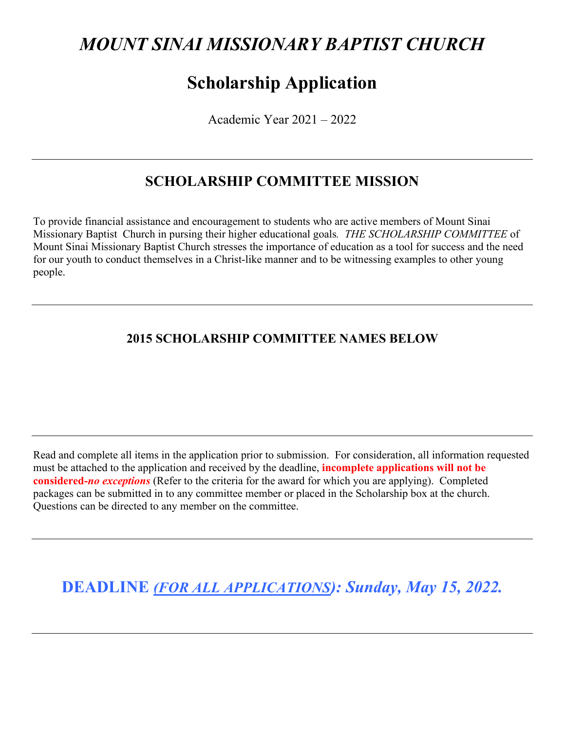# *MOUNT SINAI MISSIONARY BAPTIST CHURCH*

# **Scholarship Application**

Academic Year 2021 – 2022

# **SCHOLARSHIP COMMITTEE MISSION**

To provide financial assistance and encouragement to students who are active members of Mount Sinai Missionary Baptist Church in pursing their higher educational goals*. THE SCHOLARSHIP COMMITTEE* of Mount Sinai Missionary Baptist Church stresses the importance of education as a tool for success and the need for our youth to conduct themselves in a Christ-like manner and to be witnessing examples to other young people.

### **2015 SCHOLARSHIP COMMITTEE NAMES BELOW**

Read and complete all items in the application prior to submission. For consideration, all information requested must be attached to the application and received by the deadline, **incomplete applications will not be considered-***no exceptions* (Refer to the criteria for the award for which you are applying). Completed packages can be submitted in to any committee member or placed in the Scholarship box at the church. Questions can be directed to any member on the committee.

**DEADLINE** *(FOR ALL APPLICATIONS): Sunday, May 15, 2022.*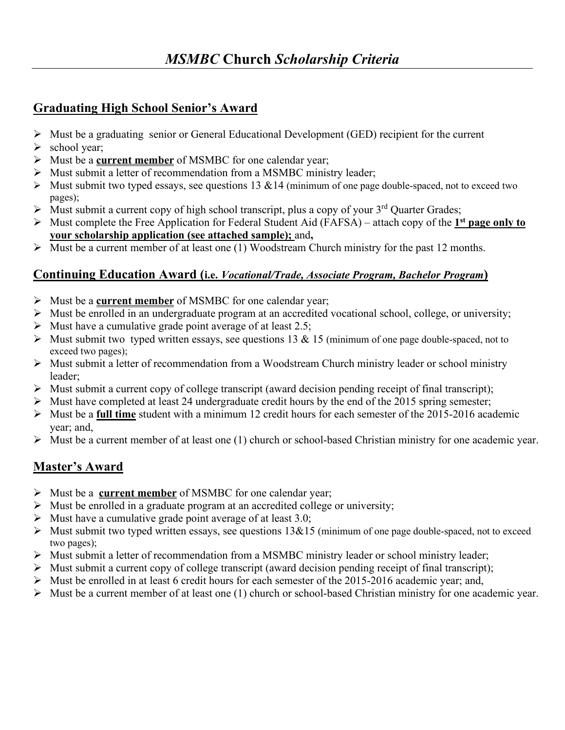### **Graduating High School Senior's Award**

- $\triangleright$  Must be a graduating senior or General Educational Development (GED) recipient for the current
- $\blacktriangleright$  school year;
- Must be a **current member** of MSMBC for one calendar year;
- Must submit a letter of recommendation from a MSMBC ministry leader;
- $\triangleright$  Must submit two typed essays, see questions 13 & 14 (minimum of one page double-spaced, not to exceed two pages);
- $\triangleright$  Must submit a current copy of high school transcript, plus a copy of your 3<sup>rd</sup> Quarter Grades;
- Must complete the Free Application for Federal Student Aid (FAFSA) attach copy of the **1st page only to your scholarship application (see attached sample);** and**,**
- $\triangleright$  Must be a current member of at least one (1) Woodstream Church ministry for the past 12 months.

### **Continuing Education Award (i.e.** *Vocational/Trade, Associate Program, Bachelor Program***)**

- Must be a **current member** of MSMBC for one calendar year;
- $\triangleright$  Must be enrolled in an undergraduate program at an accredited vocational school, college, or university;
- $\triangleright$  Must have a cumulative grade point average of at least 2.5;
- $\triangleright$  Must submit two typed written essays, see questions 13 & 15 (minimum of one page double-spaced, not to exceed two pages);
- $\triangleright$  Must submit a letter of recommendation from a Woodstream Church ministry leader or school ministry leader;
- $\triangleright$  Must submit a current copy of college transcript (award decision pending receipt of final transcript);
- $\triangleright$  Must have completed at least 24 undergraduate credit hours by the end of the 2015 spring semester;
- Must be a **full time** student with a minimum 12 credit hours for each semester of the 2015-2016 academic year; and,
- $\triangleright$  Must be a current member of at least one (1) church or school-based Christian ministry for one academic year.

## **Master's Award**

- Must be a **current member** of MSMBC for one calendar year;
- $\triangleright$  Must be enrolled in a graduate program at an accredited college or university;
- $\triangleright$  Must have a cumulative grade point average of at least 3.0;
- $\triangleright$  Must submit two typed written essays, see questions 13&15 (minimum of one page double-spaced, not to exceed two pages);
- Must submit a letter of recommendation from a MSMBC ministry leader or school ministry leader;
- $\triangleright$  Must submit a current copy of college transcript (award decision pending receipt of final transcript);
- $\triangleright$  Must be enrolled in at least 6 credit hours for each semester of the 2015-2016 academic year; and,
- $\triangleright$  Must be a current member of at least one (1) church or school-based Christian ministry for one academic year.